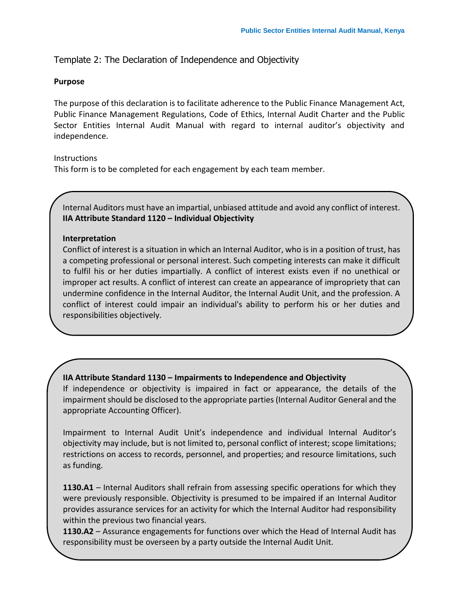Template 2: The Declaration of Independence and Objectivity

#### **Purpose**

The purpose of this declaration is to facilitate adherence to the Public Finance Management Act, Public Finance Management Regulations, Code of Ethics, Internal Audit Charter and the Public Sector Entities Internal Audit Manual with regard to internal auditor's objectivity and independence.

### **Instructions**

This form is to be completed for each engagement by each team member.

Internal Auditors must have an impartial, unbiased attitude and avoid any conflict of interest. **IIA Attribute Standard 1120 – Individual Objectivity**

### **Interpretation**

Conflict of interest is a situation in which an Internal Auditor, who is in a position of trust, has a competing professional or personal interest. Such competing interests can make it difficult to fulfil his or her duties impartially. A conflict of interest exists even if no unethical or improper act results. A conflict of interest can create an appearance of impropriety that can undermine confidence in the Internal Auditor, the Internal Audit Unit, and the profession. A conflict of interest could impair an individual's ability to perform his or her duties and responsibilities objectively.

**IIA Attribute Standard 1130 – Impairments to Independence and Objectivity**

If independence or objectivity is impaired in fact or appearance, the details of the impairment should be disclosed to the appropriate parties (Internal Auditor General and the appropriate Accounting Officer).

Impairment to Internal Audit Unit's independence and individual Internal Auditor's objectivity may include, but is not limited to, personal conflict of interest; scope limitations; restrictions on access to records, personnel, and properties; and resource limitations, such as funding.

**1130.A1** – Internal Auditors shall refrain from assessing specific operations for which they were previously responsible. Objectivity is presumed to be impaired if an Internal Auditor provides assurance services for an activity for which the Internal Auditor had responsibility within the previous two financial years.

**the sume simulative must be overseen by a party outside the Internal Audit Unit. 1130.A2** – Assurance engagements for functions over which the Head of Internal Audit has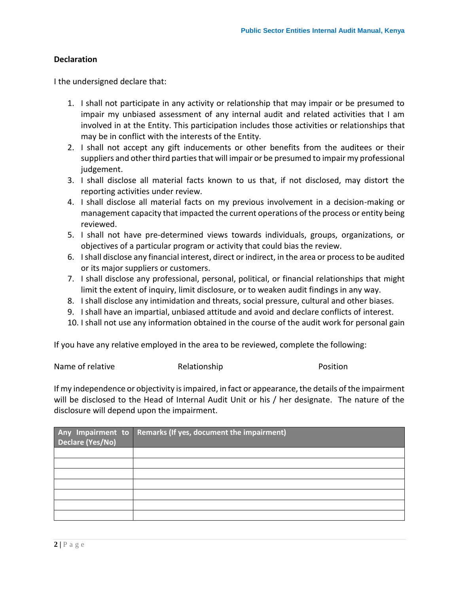### **Declaration**

I the undersigned declare that:

- 1. I shall not participate in any activity or relationship that may impair or be presumed to impair my unbiased assessment of any internal audit and related activities that I am involved in at the Entity. This participation includes those activities or relationships that may be in conflict with the interests of the Entity.
- 2. I shall not accept any gift inducements or other benefits from the auditees or their suppliers and other third parties that will impair or be presumed to impair my professional judgement.
- 3. I shall disclose all material facts known to us that, if not disclosed, may distort the reporting activities under review.
- 4. I shall disclose all material facts on my previous involvement in a decision-making or management capacity that impacted the current operations of the process or entity being reviewed.
- 5. I shall not have pre-determined views towards individuals, groups, organizations, or objectives of a particular program or activity that could bias the review.
- 6. I shall disclose any financial interest, direct or indirect, in the area or process to be audited or its major suppliers or customers.
- 7. I shall disclose any professional, personal, political, or financial relationships that might limit the extent of inquiry, limit disclosure, or to weaken audit findings in any way.
- 8. I shall disclose any intimidation and threats, social pressure, cultural and other biases.
- 9. I shall have an impartial, unbiased attitude and avoid and declare conflicts of interest.
- 10. I shall not use any information obtained in the course of the audit work for personal gain

If you have any relative employed in the area to be reviewed, complete the following:

| Name of relative | Relationship | Position |
|------------------|--------------|----------|
|------------------|--------------|----------|

If my independence or objectivity is impaired, in fact or appearance, the details of the impairment will be disclosed to the Head of Internal Audit Unit or his / her designate. The nature of the disclosure will depend upon the impairment.

| Declare (Yes/No) | Any Impairment to Remarks (If yes, document the impairment) |  |
|------------------|-------------------------------------------------------------|--|
|                  |                                                             |  |
|                  |                                                             |  |
|                  |                                                             |  |
|                  |                                                             |  |
|                  |                                                             |  |
|                  |                                                             |  |
|                  |                                                             |  |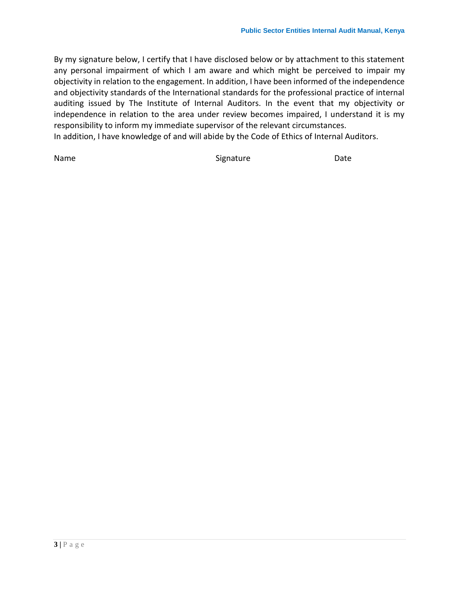By my signature below, I certify that I have disclosed below or by attachment to this statement any personal impairment of which I am aware and which might be perceived to impair my objectivity in relation to the engagement. In addition, I have been informed of the independence and objectivity standards of the International standards for the professional practice of internal auditing issued by The Institute of Internal Auditors. In the event that my objectivity or independence in relation to the area under review becomes impaired, I understand it is my responsibility to inform my immediate supervisor of the relevant circumstances. In addition, I have knowledge of and will abide by the Code of Ethics of Internal Auditors.

Name Date **Signature** Signature Date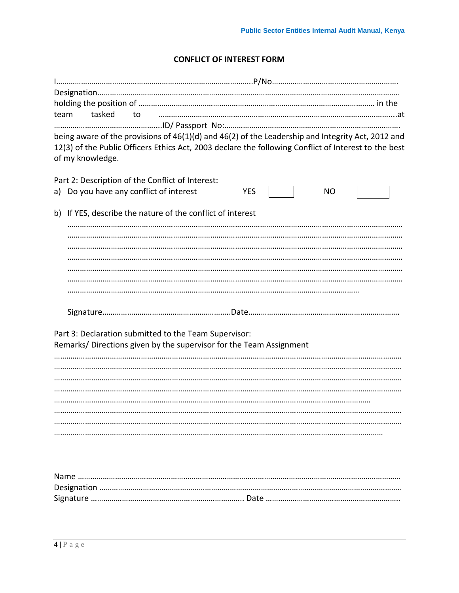# **CONFLICT OF INTEREST FORM**

| team<br>tasked<br>to                                                                                                                                                                                                          |                   |
|-------------------------------------------------------------------------------------------------------------------------------------------------------------------------------------------------------------------------------|-------------------|
|                                                                                                                                                                                                                               |                   |
| being aware of the provisions of 46(1)(d) and 46(2) of the Leadership and Integrity Act, 2012 and<br>12(3) of the Public Officers Ethics Act, 2003 declare the following Conflict of Interest to the best<br>of my knowledge. |                   |
|                                                                                                                                                                                                                               |                   |
| Part 2: Description of the Conflict of Interest:<br>Do you have any conflict of interest<br>a)                                                                                                                                | <b>YES</b><br>NO. |
|                                                                                                                                                                                                                               |                   |
| b) If YES, describe the nature of the conflict of interest                                                                                                                                                                    |                   |
|                                                                                                                                                                                                                               |                   |
|                                                                                                                                                                                                                               |                   |
|                                                                                                                                                                                                                               |                   |
|                                                                                                                                                                                                                               |                   |
|                                                                                                                                                                                                                               |                   |
|                                                                                                                                                                                                                               |                   |
|                                                                                                                                                                                                                               |                   |
|                                                                                                                                                                                                                               |                   |
| Part 3: Declaration submitted to the Team Supervisor:                                                                                                                                                                         |                   |
| Remarks/Directions given by the supervisor for the Team Assignment                                                                                                                                                            |                   |
|                                                                                                                                                                                                                               |                   |
|                                                                                                                                                                                                                               |                   |
|                                                                                                                                                                                                                               |                   |
|                                                                                                                                                                                                                               |                   |
|                                                                                                                                                                                                                               |                   |
|                                                                                                                                                                                                                               |                   |
|                                                                                                                                                                                                                               |                   |
|                                                                                                                                                                                                                               |                   |
|                                                                                                                                                                                                                               |                   |